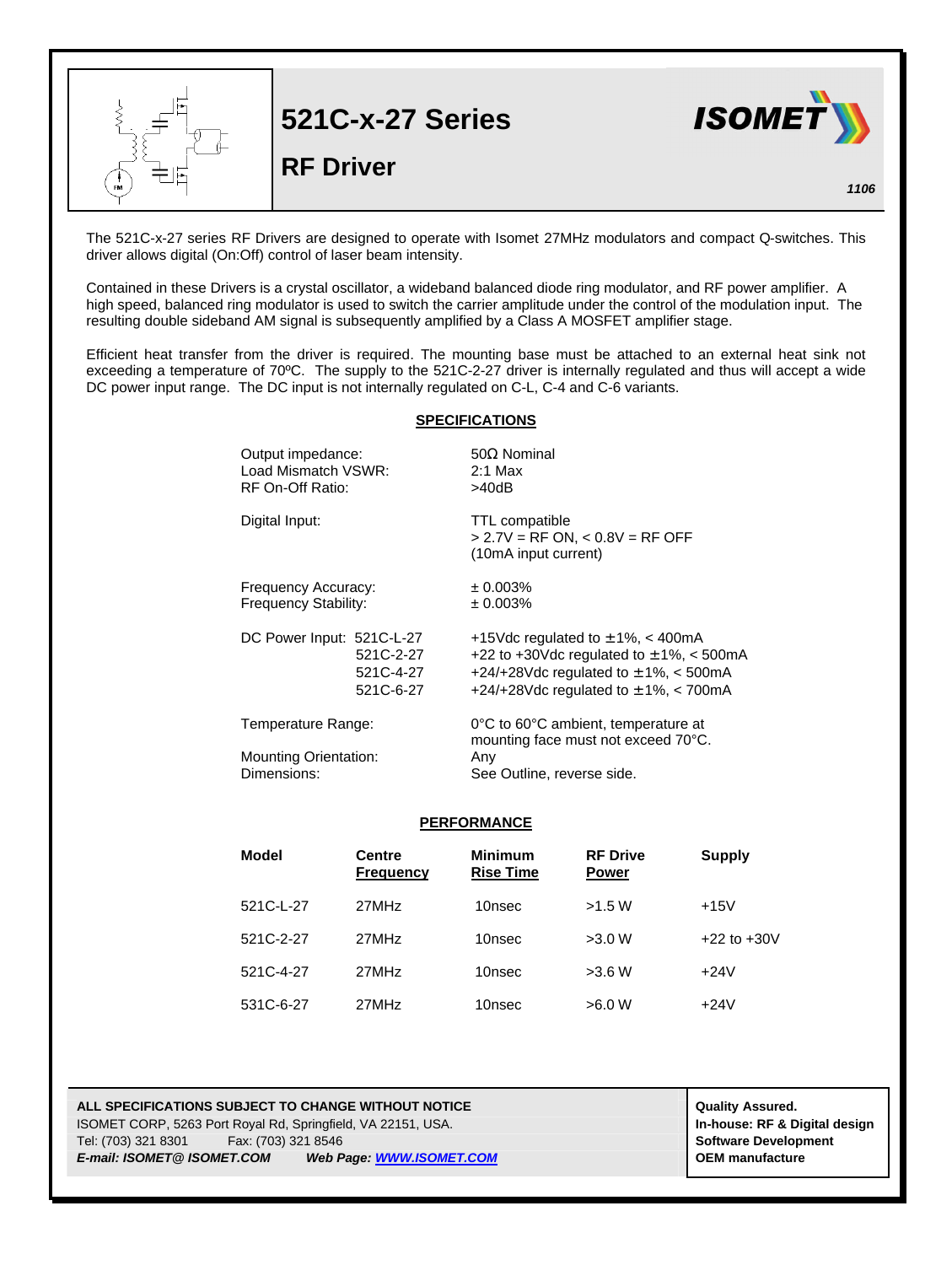|           | <b>521C-x-27 Series</b><br><b>RF Driver</b> | <b>ISOMET</b> |
|-----------|---------------------------------------------|---------------|
| <b>FM</b> |                                             | 1106          |

The 521C-x-27 series RF Drivers are designed to operate with Isomet 27MHz modulators and compact Q-switches. This driver allows digital (On:Off) control of laser beam intensity.

Contained in these Drivers is a crystal oscillator, a wideband balanced diode ring modulator, and RF power amplifier. A high speed, balanced ring modulator is used to switch the carrier amplitude under the control of the modulation input. The resulting double sideband AM signal is subsequently amplified by a Class A MOSFET amplifier stage.

Efficient heat transfer from the driver is required. The mounting base must be attached to an external heat sink not exceeding a temperature of 70°C. The supply to the 521C-2-27 driver is internally regulated and thus will accept a wide DC power input range. The DC input is not internally regulated on C-L, C-4 and C-6 variants.

## **SPECIFICATIONS**

|                | Output impedance:<br>Load Mismatch VSWR:<br>RF On-Off Ratio:      | $50\Omega$ Nominal<br>$2:1$ Max<br>>40dB                                                                                                                                        |  |  |
|----------------|-------------------------------------------------------------------|---------------------------------------------------------------------------------------------------------------------------------------------------------------------------------|--|--|
| Digital Input: |                                                                   | TTL compatible<br>$> 2.7V = RF ON$ , < 0.8V = RF OFF<br>(10mA input current)                                                                                                    |  |  |
|                | Frequency Accuracy:<br>Frequency Stability:                       | ± 0.003%<br>± 0.003%                                                                                                                                                            |  |  |
|                | DC Power Input: 521C-L-27<br>521C-2-27<br>521C-4-27<br>521C-6-27  | +15Vdc regulated to $\pm$ 1%, < 400mA<br>+22 to +30Vdc regulated to $\pm$ 1%, < 500mA<br>+24/+28Vdc regulated to $\pm$ 1%, < 500mA<br>+24/+28Vdc regulated to $\pm$ 1%, < 700mA |  |  |
|                | Temperature Range:<br><b>Mounting Orientation:</b><br>Dimensions: | 0°C to 60°C ambient, temperature at<br>mounting face must not exceed 70°C.<br>Any<br>See Outline, reverse side.                                                                 |  |  |

## **PERFORMANCE**

| Model     | <b>Centre</b><br><b>Frequency</b> | <b>Minimum</b><br><b>Rise Time</b> | <b>RF Drive</b><br><b>Power</b> | Supply          |
|-----------|-----------------------------------|------------------------------------|---------------------------------|-----------------|
| 521C-L-27 | 27MHz                             | 10nsec                             | >1.5 W                          | $+15V$          |
| 521C-2-27 | 27MHz                             | 10nsec                             | >3.0 W                          | $+22$ to $+30V$ |
| 521C-4-27 | 27MHz                             | 10nsec                             | >3.6 W                          | $+24V$          |
| 531C-6-27 | 27MHz                             | 10nsec                             | >6.0 W                          | $+24V$          |

## **ALL SPECIFICATIONS SUBJECT TO CHANGE WITHOUT NOTICE ALL SPECIFICATIONS SUBJECT TO CHANGE WITHOUT NOTICE** ISOMET CORP, 5263 Port Royal Rd, Springfield, VA 22151, USA. **In-house: RF & Digital design** Tel: (703) 321 8301 Fax: (703) 321 8546 **Software Development** *E-mail: ISOMET@ ISOMET.COM Web Page: WWW.ISOMET.COM* **OEM manufacture**